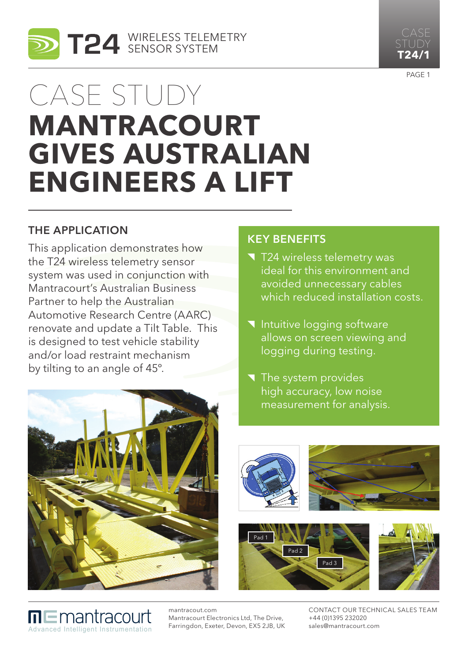



PAGE<sub>1</sub>

# Case study **MANTRACOURT gives Australian engineers a lift**

## The Application

This application demonstrates how the T24 wireless telemetry sensor system was used in conjunction with Mantracourt's Australian Business Partner to help the Australian Automotive Research Centre (AARC) renovate and update a Tilt Table. This is designed to test vehicle stability and/or load restraint mechanism by tilting to an angle of 45º.

## Key benefits

- T24 wireless telemetry was ideal for this environment and avoided unnecessary cables which reduced installation costs.
- Intuitive logging software allows on screen viewing and logging during testing.
- $\blacksquare$  The system provides high accuracy, low noise measurement for analysis.



mantracout.com

Mantracourt Electronics Ltd, The Drive, Farringdon, Exeter, Devon, EX5 2JB, UK

Advanced Intelligent Instrumentation

∏ E mantracourt



Contact our Technical Sales Team +44 (0)1395 232020 sales@mantracourt.com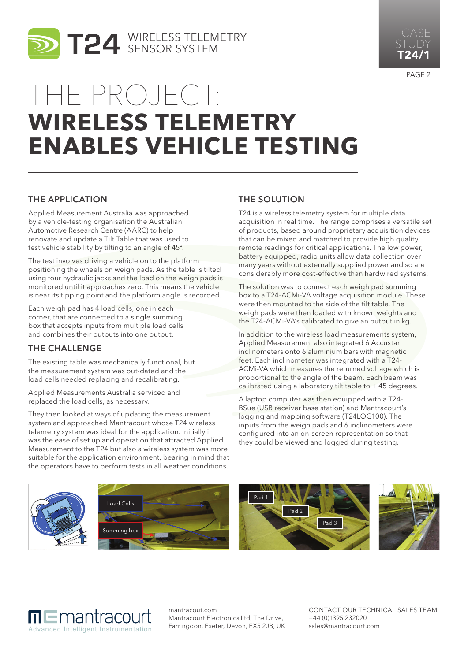



PAGE<sub>2</sub>

## The project: **Wireless Telemetry Enables Vehicle Testing**

### The Application

Applied Measurement Australia was approached by a vehicle-testing organisation the Australian Automotive Research Centre (AARC) to help renovate and update a Tilt Table that was used to test vehicle stability by tilting to an angle of 45º.

The test involves driving a vehicle on to the platform positioning the wheels on weigh pads. As the table is tilted using four hydraulic jacks and the load on the weigh pads is monitored until it approaches zero. This means the vehicle is near its tipping point and the platform angle is recorded.

Each weigh pad has 4 load cells, one in each corner, that are connected to a single summing box that accepts inputs from multiple load cells and combines their outputs into one output.

## The Challenge

The existing table was mechanically functional, but the measurement system was out-dated and the load cells needed replacing and recalibrating.

Applied Measurements Australia serviced and replaced the load cells, as necessary.

They then looked at ways of updating the measurement system and approached Mantracourt whose T24 wireless telemetry system was ideal for the application. Initially it was the ease of set up and operation that attracted Applied Measurement to the T24 but also a wireless system was more suitable for the application environment, bearing in mind that the operators have to perform tests in all weather conditions.

### **THE SOLUTION**

T24 is a wireless telemetry system for multiple data acquisition in real time. The range comprises a versatile set of products, based around proprietary acquisition devices that can be mixed and matched to provide high quality remote readings for critical applications. The low power, battery equipped, radio units allow data collection over many years without externally supplied power and so are considerably more cost-effective than hardwired systems.

The solution was to connect each weigh pad summing box to a T24-ACMi-VA voltage acquisition module. These were then mounted to the side of the tilt table. The weigh pads were then loaded with known weights and the T24-ACMi-VA's calibrated to give an output in kg.

In addition to the wireless load measurements system, Applied Measurement also integrated 6 Accustar inclinometers onto 6 aluminium bars with magnetic feet. Each inclinometer was integrated with a T24- ACMi-VA which measures the returned voltage which is proportional to the angle of the beam. Each beam was calibrated using a laboratory tilt table to + 45 degrees.

A laptop computer was then equipped with a T24- BSue (USB receiver base station) and Mantracourt's logging and mapping software (T24LOG100). The inputs from the weigh pads and 6 inclinometers were configured into an on-screen representation so that they could be viewed and logged during testing.



## $\Pi \sqsubseteq$ mantracourt Advanced Intelligent Instrumentation

mantracout.com Mantracourt Electronics Ltd, The Drive, Farringdon, Exeter, Devon, EX5 2JB, UK Contact our Technical Sales Team +44 (0)1395 232020 sales@mantracourt.com